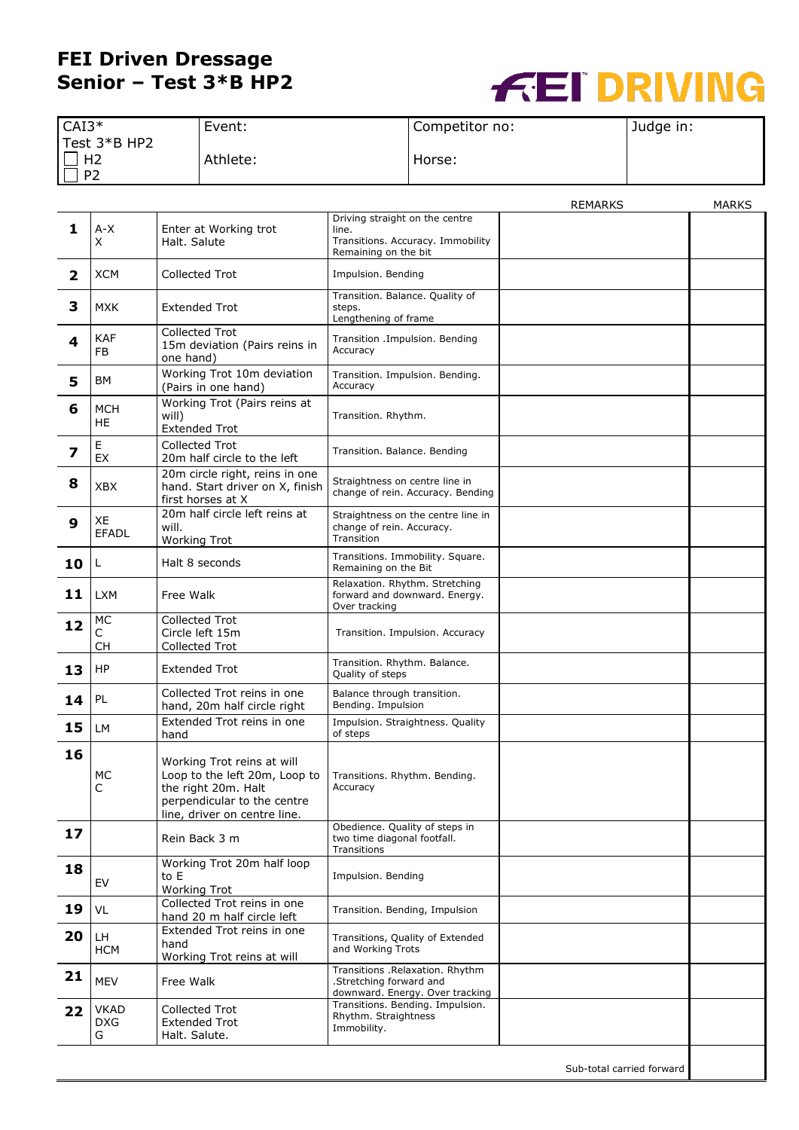## **FEI Driven Dressage Senior – Test 3\*B HP2**



| $CAI3*$                              | Event:   | Competitor no: | Judge in: |
|--------------------------------------|----------|----------------|-----------|
| Test 3*B HP2<br>H2<br>P <sub>2</sub> | Athlete: | Horse:         |           |

|                         |                                |                                                                                                                                                   |                                                                                                      | REMARKS                   | MARKS |
|-------------------------|--------------------------------|---------------------------------------------------------------------------------------------------------------------------------------------------|------------------------------------------------------------------------------------------------------|---------------------------|-------|
| 1                       | A-X<br>Χ                       | Enter at Working trot<br>Halt. Salute                                                                                                             | Driving straight on the centre<br>line.<br>Transitions. Accuracy. Immobility<br>Remaining on the bit |                           |       |
| $\overline{\mathbf{2}}$ | XCM                            | Collected Trot                                                                                                                                    | Impulsion. Bending                                                                                   |                           |       |
| 3                       | <b>MXK</b>                     | <b>Extended Trot</b>                                                                                                                              | Transition. Balance. Quality of<br>steps.<br>Lengthening of frame                                    |                           |       |
| 4                       | <b>KAF</b><br>FB               | <b>Collected Trot</b><br>15m deviation (Pairs reins in<br>one hand)                                                                               | Transition .Impulsion. Bending<br>Accuracy                                                           |                           |       |
| 5                       | ΒM                             | Working Trot 10m deviation<br>(Pairs in one hand)                                                                                                 | Transition. Impulsion. Bending.<br>Accuracy                                                          |                           |       |
| 6                       | <b>MCH</b><br>HE               | Working Trot (Pairs reins at<br>will)<br><b>Extended Trot</b>                                                                                     | Transition. Rhythm.                                                                                  |                           |       |
| 7                       | E<br><b>EX</b>                 | <b>Collected Trot</b><br>20m half circle to the left                                                                                              | Transition. Balance. Bending                                                                         |                           |       |
| 8                       | <b>XBX</b>                     | 20m circle right, reins in one<br>hand. Start driver on X, finish<br>first horses at X                                                            | Straightness on centre line in<br>change of rein. Accuracy. Bending                                  |                           |       |
| 9                       | XE<br><b>EFADL</b>             | 20m half circle left reins at<br>will.<br><b>Working Trot</b>                                                                                     | Straightness on the centre line in<br>change of rein. Accuracy.<br>Transition                        |                           |       |
| 10                      | L                              | Halt 8 seconds                                                                                                                                    | Transitions. Immobility. Square.<br>Remaining on the Bit                                             |                           |       |
| 11                      | <b>LXM</b>                     | Free Walk                                                                                                                                         | Relaxation. Rhythm. Stretching<br>forward and downward. Energy.<br>Over tracking                     |                           |       |
| 12                      | МC<br>C<br><b>CH</b>           | <b>Collected Trot</b><br>Circle left 15m<br><b>Collected Trot</b>                                                                                 | Transition. Impulsion. Accuracy                                                                      |                           |       |
| 13                      | HP                             | Extended Trot                                                                                                                                     | Transition. Rhythm. Balance.<br>Quality of steps                                                     |                           |       |
| 14                      | PL                             | Collected Trot reins in one<br>hand, 20m half circle right                                                                                        | Balance through transition.<br>Bending. Impulsion                                                    |                           |       |
| 15                      | LM                             | Extended Trot reins in one<br>hand                                                                                                                | Impulsion. Straightness. Quality<br>of steps                                                         |                           |       |
| 16                      | MC<br>C                        | Working Trot reins at will<br>Loop to the left 20m, Loop to<br>the right 20m. Halt<br>perpendicular to the centre<br>line, driver on centre line. | Transitions. Rhythm. Bending.<br>Accuracy                                                            |                           |       |
| 17                      |                                | Rein Back 3 m                                                                                                                                     | Obedience. Quality of steps in<br>two time diagonal footfall.<br>Transitions                         |                           |       |
| 18                      | EV                             | Working Trot 20m half loop<br>to E<br><b>Working Trot</b>                                                                                         | Impulsion. Bending                                                                                   |                           |       |
| 19                      | VL                             | Collected Trot reins in one<br>hand 20 m half circle left                                                                                         | Transition. Bending, Impulsion                                                                       |                           |       |
| 20                      | LH<br><b>HCM</b>               | Extended Trot reins in one<br>hand<br>Working Trot reins at will                                                                                  | Transitions, Quality of Extended<br>and Working Trots                                                |                           |       |
| 21                      | <b>MEV</b>                     | Free Walk                                                                                                                                         | Transitions .Relaxation. Rhythm<br>.Stretching forward and<br>downward. Energy. Over tracking        |                           |       |
| 22                      | <b>VKAD</b><br><b>DXG</b><br>G | <b>Collected Trot</b><br><b>Extended Trot</b><br>Halt. Salute.                                                                                    | Transitions. Bending. Impulsion.<br>Rhythm. Straightness<br>Immobility.                              |                           |       |
|                         |                                |                                                                                                                                                   |                                                                                                      | Sub-total carried forward |       |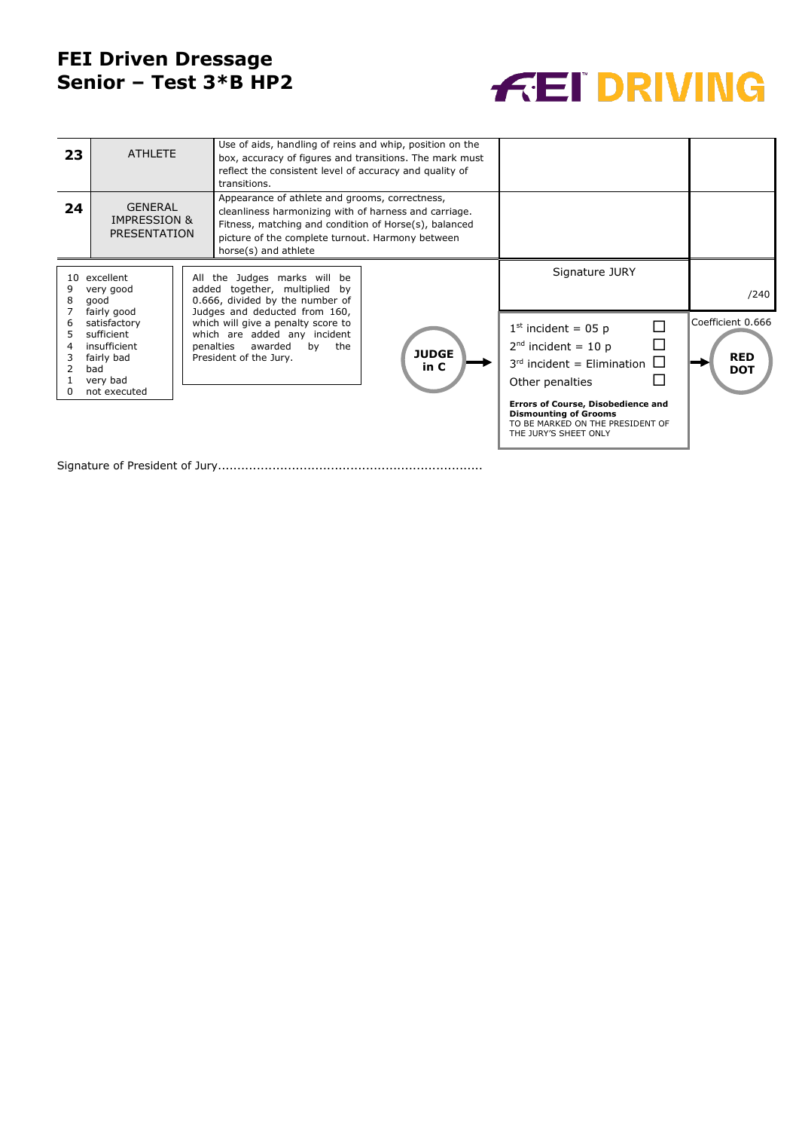## **FEI Driven Dressage Senior – Test 3\*B HP2**



| 23                                                                   | <b>ATHLETE</b><br>transitions.                                                                                                                                                                                         |                                                                                                                                      | Use of aids, handling of reins and whip, position on the<br>box, accuracy of figures and transitions. The mark must<br>reflect the consistent level of accuracy and quality of                                                               |                                                                                                                  |                                                                                                                                        |      |
|----------------------------------------------------------------------|------------------------------------------------------------------------------------------------------------------------------------------------------------------------------------------------------------------------|--------------------------------------------------------------------------------------------------------------------------------------|----------------------------------------------------------------------------------------------------------------------------------------------------------------------------------------------------------------------------------------------|------------------------------------------------------------------------------------------------------------------|----------------------------------------------------------------------------------------------------------------------------------------|------|
| 24                                                                   | <b>GENERAL</b><br><b>IMPRESSION &amp;</b><br>PRESENTATION                                                                                                                                                              |                                                                                                                                      | Appearance of athlete and grooms, correctness,<br>cleanliness harmonizing with of harness and carriage.<br>Fitness, matching and condition of Horse(s), balanced<br>picture of the complete turnout. Harmony between<br>horse(s) and athlete |                                                                                                                  |                                                                                                                                        |      |
| $10^{-1}$<br>excellent<br>9<br>very good<br>8<br>good<br>fairly good |                                                                                                                                                                                                                        | All the Judges marks will be<br>added together, multiplied<br>bv<br>0.666, divided by the number of<br>Judges and deducted from 160, |                                                                                                                                                                                                                                              |                                                                                                                  | Signature JURY                                                                                                                         | /240 |
| 6<br>5<br>4                                                          | which will give a penalty score to<br>satisfactory<br>which are added any incident<br>sufficient<br>penalties awarded<br>insufficient<br>by<br>fairly bad<br>President of the Jury.<br>bad<br>very bad<br>not executed | the                                                                                                                                  | <b>JUDGE</b><br>in C                                                                                                                                                                                                                         | $1st$ incident = 05 p<br>П<br>$2nd$ incident = 10 p<br>$\Box$<br>$3rd$ incident = Elimination<br>Other penalties | Coefficient 0.666<br><b>RED</b><br><b>DOT</b>                                                                                          |      |
|                                                                      |                                                                                                                                                                                                                        |                                                                                                                                      |                                                                                                                                                                                                                                              |                                                                                                                  | <b>Errors of Course, Disobedience and</b><br><b>Dismounting of Grooms</b><br>TO BE MARKED ON THE PRESIDENT OF<br>THE JURY'S SHEET ONLY |      |

Signature of President of Jury....................................................................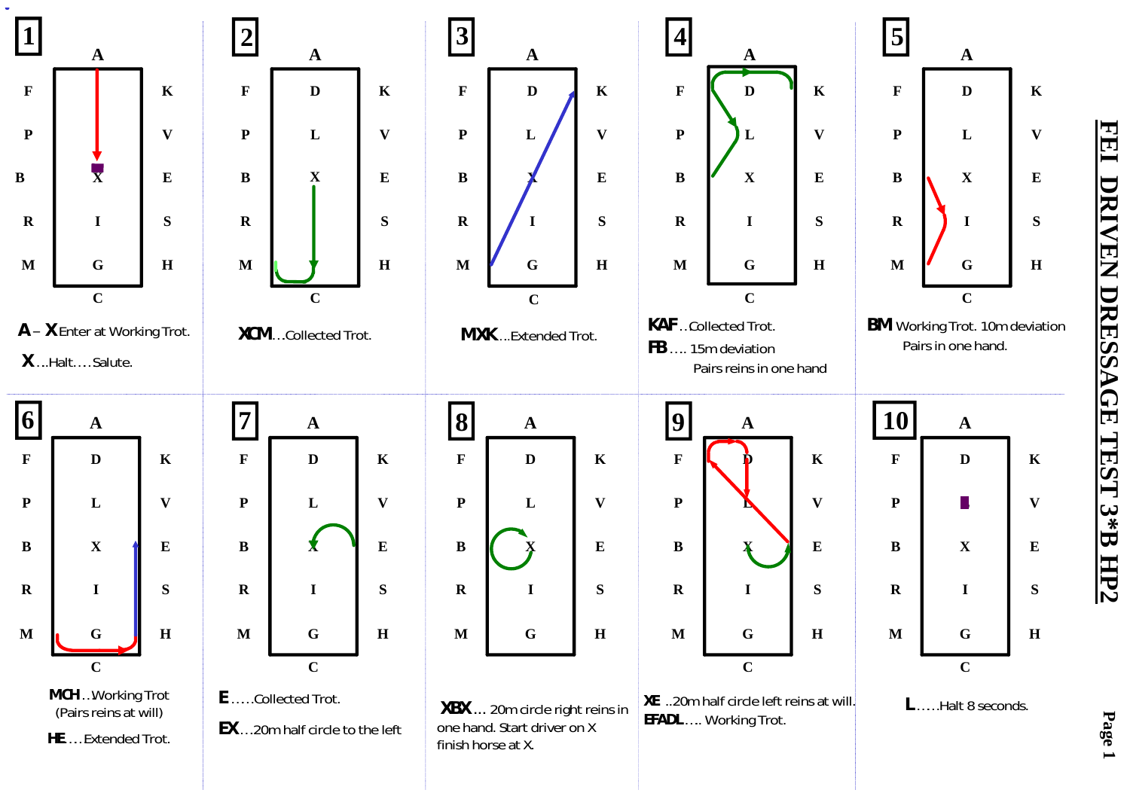

<u>FEI</u> **FEI DRIVEN DRESSAGE TEST 3\*B HP2**